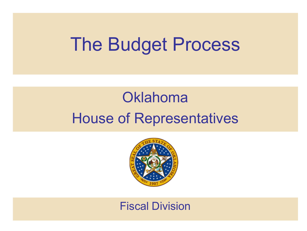# The Budget Process

# Oklahoma House of Representatives



#### Fiscal Division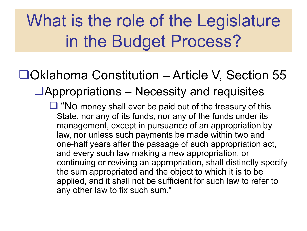# What is the role of the Legislature in the Budget Process?

## ❑Oklahoma Constitution – Article V, Section 55 ❑Appropriations – Necessity and requisites

■ "No money shall ever be paid out of the treasury of this State, nor any of its funds, nor any of the funds under its management, except in pursuance of an appropriation by law, nor unless such payments be made within two and one-half years after the passage of such appropriation act, and every such law making a new appropriation, or continuing or reviving an appropriation, shall distinctly specify the sum appropriated and the object to which it is to be applied, and it shall not be sufficient for such law to refer to any other law to fix such sum."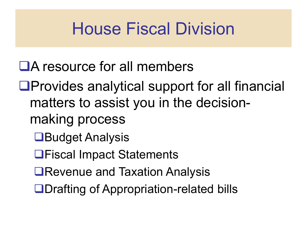# House Fiscal Division

- ❑A resource for all members
- ❑Provides analytical support for all financial matters to assist you in the decisionmaking process
	- ❑Budget Analysis
	- ❑Fiscal Impact Statements
	- ❑Revenue and Taxation Analysis
	- ❑Drafting of Appropriation-related bills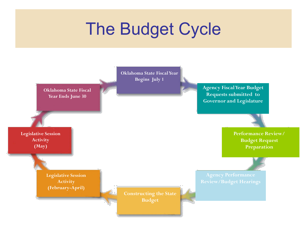# The Budget Cycle

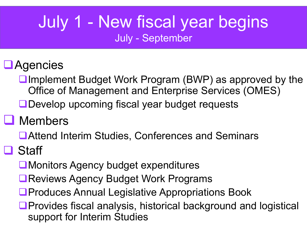### July 1 - New fiscal year begins July - September

#### ❑Agencies

❑Implement Budget Work Program (BWP) as approved by the Office of Management and Enterprise Services (OMES)

❑Develop upcoming fiscal year budget requests

### ❑ Members

❑Attend Interim Studies, Conferences and Seminars

❑ Staff

❑Monitors Agency budget expenditures

- ❑Reviews Agency Budget Work Programs
- ❑Produces Annual Legislative Appropriations Book
- ❑Provides fiscal analysis, historical background and logistical support for Interim Studies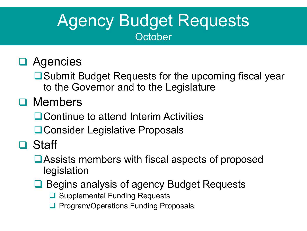### Agency Budget Requests **October**

#### ❑ Agencies

❑Submit Budget Requests for the upcoming fiscal year to the Governor and to the Legislature

❑ Members

❑Continue to attend Interim Activities

❑Consider Legislative Proposals

- ❑ Staff
	- ❑Assists members with fiscal aspects of proposed legislation
	- ❑ Begins analysis of agency Budget Requests

❑ Supplemental Funding Requests

❑ Program/Operations Funding Proposals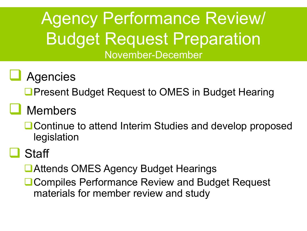# Agency Performance Review/ Budget Request Preparation November-December

## **Agencies**

❑Present Budget Request to OMES in Budget Hearing

## ❑ Members

■Continue to attend Interim Studies and develop proposed legislation

# ❑ Staff

- ❑Attends OMES Agency Budget Hearings
- ❑Compiles Performance Review and Budget Request materials for member review and study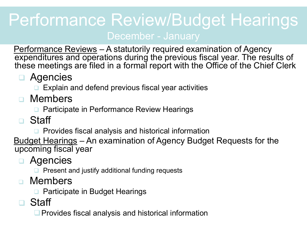## Performance Review/Budget Hearings December - January

Performance Reviews - A statutorily required examination of Agency expenditures and operations during the previous fiscal year. The results of these meetings are filed in a formal report with the Office of the Chief Clerk

- ❑ Agencies
	- ❑ Explain and defend previous fiscal year activities
- ❑ Members
	- ❑ Participate in Performance Review Hearings
- ❑ Staff
	- ❑ Provides fiscal analysis and historical information

Budget Hearings – An examination of Agency Budget Requests for the upcoming fiscal year

- ❑ Agencies
	- ❑ Present and justify additional funding requests
- ❑ Members
	- ❑ Participate in Budget Hearings
- ❑ Staff
	- ❑Provides fiscal analysis and historical information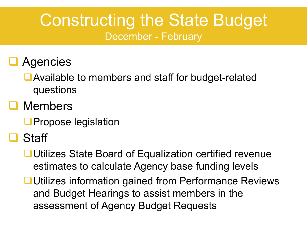### Constructing the State Budget December - February

❑ Agencies

■Available to members and staff for budget-related questions

❑ Members

❑Propose legislation

❑ Staff

❑Utilizes State Board of Equalization certified revenue estimates to calculate Agency base funding levels

❑Utilizes information gained from Performance Reviews and Budget Hearings to assist members in the assessment of Agency Budget Requests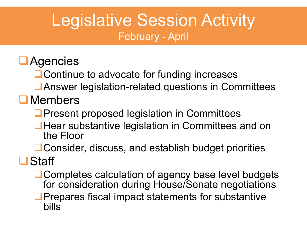### Legislative Session Activity February - April

#### ❑Agencies

■Continue to advocate for funding increases

❑Answer legislation-related questions in Committees

#### ❑Members

- ❑Present proposed legislation in Committees
- ■Hear substantive legislation in Committees and on the Floor
- ❑Consider, discuss, and establish budget priorities

### ❑Staff

- ❑Completes calculation of agency base level budgets for consideration during House/Senate negotiations
- ■Prepares fiscal impact statements for substantive bills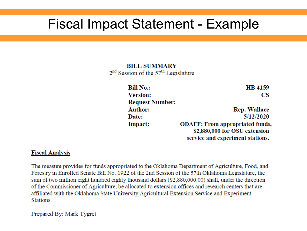### Fiscal Impact Statement - Example .

**BILL SUMMARY** 2<sup>nd</sup> Session of the 57<sup>th</sup> Legislature

| <b>Bill No.:</b>       | <b>HB</b> 4159                         |
|------------------------|----------------------------------------|
| <b>Version:</b>        | CS                                     |
| <b>Request Number:</b> |                                        |
| <b>Author:</b>         | <b>Rep. Wallace</b>                    |
| Date:                  | 5/12/2020                              |
| <b>Impact:</b>         | <b>ODAFF: From appropriated funds,</b> |
|                        | \$2,880,000 for OSU extension          |
|                        | service and experiment stations.       |

#### **Fiscal Analysis**

The measure provides for funds appropriated to the Oklahoma Department of Agriculture, Food, and Forestry in Enrolled Senate Bill No. 1922 of the 2nd Session of the 57th Oklahoma Legislature, the sum of two million eight hundred eighty thousand dollars (\$2,880,000.00) shall, under the direction of the Commissioner of Agriculture, be allocated to extension offices and research centers that are affiliated with the Oklahoma State University Agricultural Extension Service and Experiment Stations.

Prepared By: Mark Tygret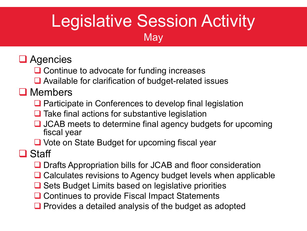### Legislative Session Activity **May**

#### ❑ Agencies

- ❑ Continue to advocate for funding increases
- ❑ Available for clarification of budget-related issues

#### ❑ Members

- ❑ Participate in Conferences to develop final legislation
- ❑ Take final actions for substantive legislation
- ❑ JCAB meets to determine final agency budgets for upcoming fiscal year
- ❑ Vote on State Budget for upcoming fiscal year
- ❑ Staff
	- ❑ Drafts Appropriation bills for JCAB and floor consideration
	- ❑ Calculates revisions to Agency budget levels when applicable
	- ❑ Sets Budget Limits based on legislative priorities
	- ❑ Continues to provide Fiscal Impact Statements
	- Provides a detailed analysis of the budget as adopted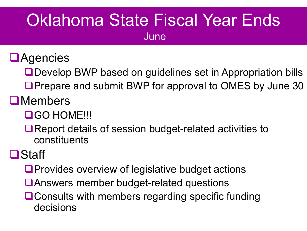# Oklahoma State Fiscal Year Ends

#### **June**

#### ❑Agencies

- ❑Develop BWP based on guidelines set in Appropriation bills
- ■Prepare and submit BWP for approval to OMES by June 30

### ❑Members

#### ❑GO HOME!!!

❑Report details of session budget-related activities to constituents

### ❑Staff

- ❑Provides overview of legislative budget actions
- ❑Answers member budget-related questions
- ❑Consults with members regarding specific funding decisions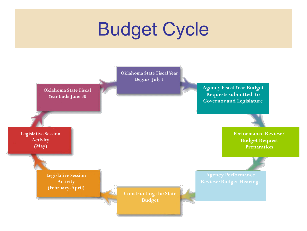# Budget Cycle